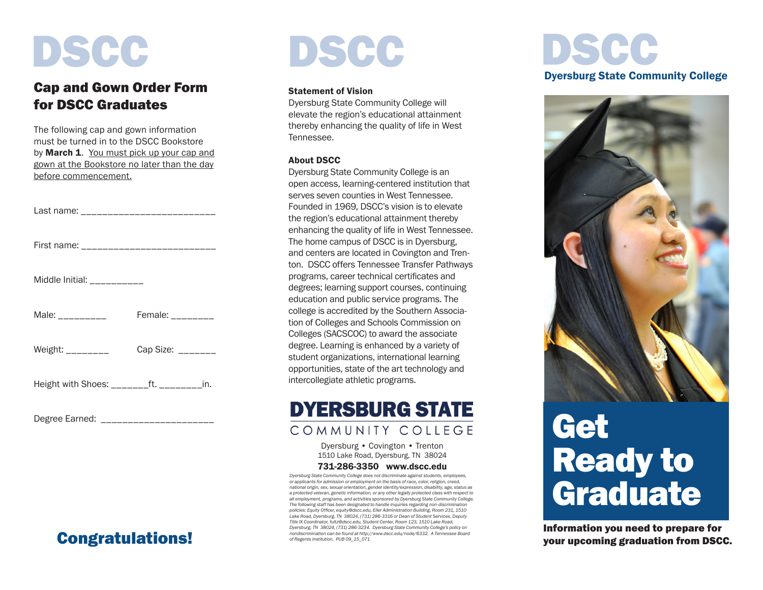# DSCC

### Cap and Gown Order Form for DSCC Graduates

The following cap and gown information must be turned in to the DSCC Bookstore by **March 1.** You must pick up your cap and gown at the Bookstore no later than the day before commencement.

| Last name: ___________________________      |                         |
|---------------------------------------------|-------------------------|
| First name: ____________________________    |                         |
| Middle Initial: __________                  |                         |
| Male: $\frac{1}{2}$                         | Female: ________        |
| Weight: $\frac{1}{2}$                       | Cap Size: $\frac{1}{2}$ |
| Height with Shoes: ________ft. _________in. |                         |

Degree Earned: \_\_\_\_\_\_\_\_\_\_\_\_\_\_\_\_\_\_\_\_\_

## Congratulations!

# DSCC DSCC

#### Statement of Vision

Dyersburg State Community College will elevate the region's educational attainment thereby enhancing the quality of life in West Tennessee.

#### About DSCC

Dyersburg State Community College is an open access, learning-centered institution that serves seven counties in West Tennessee. Founded in 1969, DSCC's vision is to elevate the region's educational attainment thereby enhancing the quality of life in West Tennessee. The home campus of DSCC is in Dyersburg, and centers are located in Covington and Trenton. DSCC offers Tennessee Transfer Pathways programs, career technical certificates and degrees; learning support courses, continuing education and public service programs. The college is accredited by the Southern Association of Colleges and Schools Commission on Colleges (SACSCOC) to award the associate degree. Learning is enhanced by a variety of student organizations, international learning opportunities, state of the art technology and intercollegiate athletic programs.

### **DYERSBURG STATE** COMMUNITY COLLEGE

Dyersburg • Covington • Trenton 1510 Lake Road, Dyersburg, TN 38024

#### 731-286-3350 www.dscc.edu

*Dyersburg State Community College does not discriminate against students, employees, or applicants for admission or employment on the basis of race, color, religion, creed, national origin, sex, sexual orientation, gender identity/expression, disability, age, status as a protected veteran, genetic information, or any other legally protected class with respect to all employment, programs, and activities sponsored by Dyersburg State Community College. The following staff has been designated to handle inquiries regarding non-discrimination policies: Equity Officer, equity@dscc.edu, Eller Administration Building, Room 231, 1510 Lake Road, Dyersburg, TN 38024, (731) 286-3316 or Dean of Student Services, Deputy Title IX Coordinator, fultz@dscc.edu, Student Center, Room 123, 1510 Lake Road, Dyersburg, TN 38024, (731) 286-3234. Dyersburg State Community College's policy on nondiscrimination can be found at http://www.dscc.edu/node/6332. A Tennessee Board of Regents Institution. PUB 09\_15\_071*

# Dyersburg State Community College



## **Get** Ready to Graduate

Information you need to prepare for your upcoming graduation from DSCC.